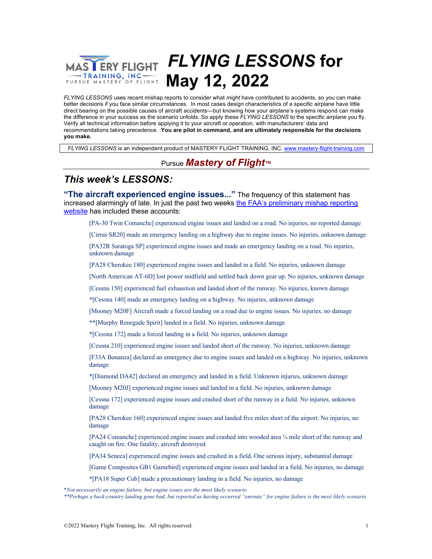## *FLYING LESSONS* **for ERY FLIGHT** TRAINING, INC ----**May 12, 2022**

*FLYING LESSONS* uses recent mishap reports to consider what *might* have contributed to accidents, so you can make better decisions if you face similar circumstances. In most cases design characteristics of a specific airplane have little direct bearing on the possible causes of aircraft accidents—but knowing how your airplane's systems respond can make the difference in your success as the scenario unfolds. So apply these *FLYING LESSONS* to the specific airplane you fly. Verify all technical information before applying it to your aircraft or operation, with manufacturers' data and recommendations taking precedence. **You are pilot in command, and are ultimately responsible for the decisions you make.**

*FLYING LESSONS* is an independent product of MASTERY FLIGHT TRAINING, INC. www.mastery-flight-training.com

### Pursue *Mastery of Flight™*

# *This week's LESSONS:*

**"The aircraft experienced engine issues..."** The frequency of this statement has increased alarmingly of late. In just the past two weeks the FAA's preliminary mishap reporting website has included these accounts:

[PA-30 Twin Comanche] experienced engine issues and landed on a road. No injuries, no reported damage

[Cirrus SR20] made an emergency landing on a highway due to engine issues. No injuries, unknown damage

[PA32R Saratoga SP] experienced engine issues and made an emergency landing on a road. No injuries, unknown damage

[PA28 Cherokee 180] experienced engine issues and landed in a field. No injuries, unknown damage

[North American AT-6D] lost power midfield and settled back down gear up. No injuries, unknown damage

[Cessna 150] experienced fuel exhaustion and landed short of the runway. No injuries, known damage

**\***[Cessna 140] made an emergency landing on a highway. No injuries, unknown damage

[Mooney M20F] Aircraft made a forced landing on a road due to engine issues. No injuries, no damage

**\*\***[Murphy Renegade Spirit] landed in a field. No injuries, unknown damage

**\***[Cessna 172] made a forced landing in a field. No injuries, unknown damage

[Cessna 210] experienced engine issues and landed short of the runway. No injuries, unknown damage

[F33A Bonanza] declared an emergency due to engine issues and landed on a highway. No injuries, unknown damage

**\***[Diamond DA42] declared an emergency and landed in a field. Unknown injuries, unknown damage

[Mooney M20J] experienced engine issues and landed in a field. No injuries, unknown damage

[Cessna 172] experienced engine issues and crashed short of the runway in a field. No injuries, unknown damage

[PA28 Cherokee 160] experienced engine issues and landed five miles short of the airport. No injuries, no damage

[PA24 Comanche] experienced engine issues and crashed into wooded area ¼ mile short of the runway and caught on fire. One fatality, aircraft destroyed

[PA34 Seneca] experienced engine issues and crashed in a field. One serious injury, substantial damage

[Game Composites GB1 Gamebird] experienced engine issues and landed in a field. No injuries, no damage

**\***[PA18 Super Cub] made a precautionary landing in a field. No injuries, no damage

\**Not necessarily an engine failure, but engine issues are the most likely scenario*

*\*\*Perhaps a back-country landing gone bad, but reported as having occurred "enroute" for engine failure is the most likely scenario*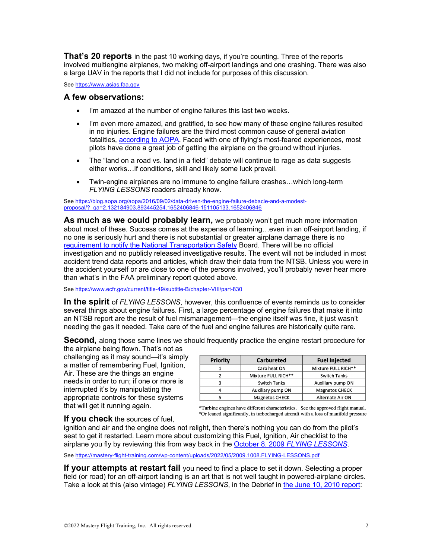**That's 20 reports** in the past 10 working days, if you're counting. Three of the reports involved multiengine airplanes, two making off-airport landings and one crashing. There was also a large UAV in the reports that I did not include for purposes of this discussion.

See https://www.asias.faa.gov

### **A few observations:**

- I'm amazed at the number of engine failures this last two weeks.
- I'm even more amazed, and gratified, to see how many of these engine failures resulted in no injuries. Engine failures are the third most common cause of general aviation fatalities, according to AOPA. Faced with one of flying's most-feared experiences, most pilots have done a great job of getting the airplane on the ground without injuries.
- The "land on a road vs. land in a field" debate will continue to rage as data suggests either works…if conditions, skill and likely some luck prevail.
- Twin-engine airplanes are no immune to engine failure crashes…which long-term *FLYING LESSONS* readers already know.

See https://blog.aopa.org/aopa/2016/09/02/data-driven-the-engine-failure-debacle-and-a-modestproposal/?\_ga=2.132184903.893445254.1652406846-151105133.1652406846

**As much as we could probably learn,** we probably won't get much more information about most of these. Success comes at the expense of learning…even in an off-airport landing, if no one is seriously hurt and there is not substantial or greater airplane damage there is no requirement to notify the National Transportation Safety Board. There will be no official investigation and no publicly released investigative results. The event will not be included in most accident trend data reports and articles, which draw their data from the NTSB. Unless you were in the accident yourself or are close to one of the persons involved, you'll probably never hear more than what's in the FAA preliminary report quoted above.

See https://www.ecfr.gov/current/title-49/subtitle-B/chapter-VIII/part-830

**In the spirit** of *FLYING LESSONS*, however, this confluence of events reminds us to consider several things about engine failures. First, a large percentage of engine failures that make it into an NTSB report are the result of fuel mismanagement—the engine itself was fine, it just wasn't needing the gas it needed. Take care of the fuel and engine failures are historically quite rare.

**Second,** along those same lines we should frequently practice the engine restart procedure for

the airplane being flown. That's not as challenging as it may sound—it's simply a matter of remembering Fuel, Ignition, Air. These are the things an engine needs in order to run; if one or more is interrupted it's by manipulating the appropriate controls for these systems that will get it running again.

| <b>Priority</b> | <b>Carbureted</b>     | <b>Fuel Injected</b>  |
|-----------------|-----------------------|-----------------------|
|                 | Carb heat ON          | Mixture FULL RICH**   |
|                 | Mixture FULL RICH**   | <b>Switch Tanks</b>   |
|                 | <b>Switch Tanks</b>   | Auxiliary pump ON     |
|                 | Auxiliary pump ON     | <b>Magnetos CHECK</b> |
|                 | <b>Magnetos CHECK</b> | Alternate Air ON      |

\*Turbine engines have different characteristics. See the approved flight manual. \*Or leaned significantly, in turbocharged aircraft with a loss of manifold pressure

### **If you check** the sources of fuel,

ignition and air and the engine does not relight, then there's nothing you can do from the pilot's seat to get it restarted. Learn more about customizing this Fuel, Ignition, Air checklist to the airplane you fly by reviewing this from way back in the October 8, 2009 *FLYING LESSONS*.

See https://mastery-flight-training.com/wp-content/uploads/2022/05/2009.1008.FLYING-LESSONS.pdf

**If your attempts at restart fail** you need to find a place to set it down. Selecting a proper field (or road) for an off-airport landing is an art that is not well taught in powered-airplane circles. Take a look at this (also vintage) *FLYING LESSONS*, in the Debrief in the June 10, 2010 report: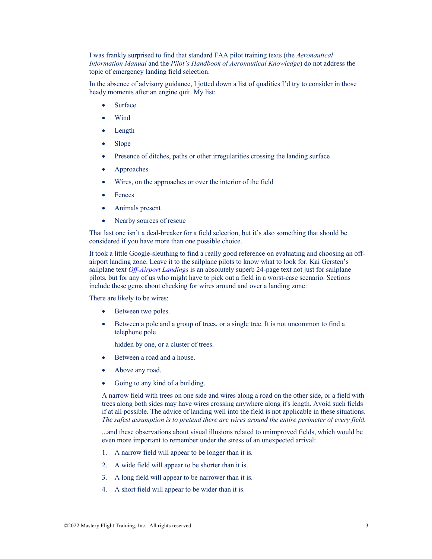I was frankly surprised to find that standard FAA pilot training texts (the *Aeronautical Information Manual* and the *Pilot's Handbook of Aeronautical Knowledge*) do not address the topic of emergency landing field selection.

In the absence of advisory guidance, I jotted down a list of qualities I'd try to consider in those heady moments after an engine quit. My list:

- **Surface**
- Wind
- Length
- Slope
- Presence of ditches, paths or other irregularities crossing the landing surface
- Approaches
- Wires, on the approaches or over the interior of the field
- **Fences**
- Animals present
- Nearby sources of rescue

That last one isn't a deal-breaker for a field selection, but it's also something that should be considered if you have more than one possible choice.

It took a little Google-sleuthing to find a really good reference on evaluating and choosing an offairport landing zone. Leave it to the sailplane pilots to know what to look for. Kai Gersten's sailplane text *Off-Airport Landings* is an absolutely superb 24-page text not just for sailplane pilots, but for any of us who might have to pick out a field in a worst-case scenario. Sections include these gems about checking for wires around and over a landing zone:

There are likely to be wires:

- Between two poles.
- Between a pole and a group of trees, or a single tree. It is not uncommon to find a telephone pole

hidden by one, or a cluster of trees.

- Between a road and a house.
- Above any road.
- Going to any kind of a building.

A narrow field with trees on one side and wires along a road on the other side, or a field with trees along both sides may have wires crossing anywhere along it's length. Avoid such fields if at all possible. The advice of landing well into the field is not applicable in these situations. *The safest assumption is to pretend there are wires around the entire perimeter of every field.* 

...and these observations about visual illusions related to unimproved fields, which would be even more important to remember under the stress of an unexpected arrival:

- 1. A narrow field will appear to be longer than it is.
- 2. A wide field will appear to be shorter than it is.
- 3. A long field will appear to be narrower than it is.
- 4. A short field will appear to be wider than it is.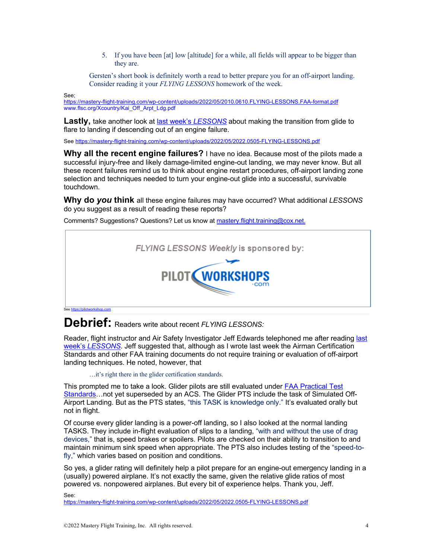5. If you have been [at] low [altitude] for a while, all fields will appear to be bigger than they are.

Gersten's short book is definitely worth a read to better prepare you for an off-airport landing. Consider reading it your *FLYING LESSONS* homework of the week.

See;

https://mastery-flight-training.com/wp-content/uploads/2022/05/2010.0610.FLYING-LESSONS.FAA-format.pdf www.flsc.org/Xcountry/Kai\_Off\_Arpt\_Ldg.pdf

**Lastly,** take another look at last week's *LESSONS* about making the transition from glide to flare to landing if descending out of an engine failure.

See https://mastery-flight-training.com/wp-content/uploads/2022/05/2022.0505-FLYING-LESSONS.pdf

**Why all the recent engine failures?** I have no idea. Because most of the pilots made a successful injury-free and likely damage-limited engine-out landing, we may never know. But all these recent failures remind us to think about engine restart procedures, off-airport landing zone selection and techniques needed to turn your engine-out glide into a successful, survivable touchdown.

**Why do** *you* **think** all these engine failures may have occurred? What additional *LESSONS*  do you suggest as a result of reading these reports?

Comments? Suggestions? Questions? Let us know at mastery.flight.training@cox.net.



**Debrief:** Readers write about recent *FLYING LESSONS:*

Reader, flight instructor and Air Safety Investigator Jeff Edwards telephoned me after reading last week's *LESSONS*. Jeff suggested that, although as I wrote last week the Airman Certification Standards and other FAA training documents do not require training or evaluation of off-airport landing techniques. He noted, however, that

…it's right there in the glider certification standards.

This prompted me to take a look. Glider pilots are still evaluated under FAA Practical Test Standards…not yet superseded by an ACS. The Glider PTS include the task of Simulated Off-Airport Landing. But as the PTS states, "this TASK is knowledge only." It's evaluated orally but not in flight.

Of course every glider landing is a power-off landing, so I also looked at the normal landing TASKS. They include in-flight evaluation of slips to a landing, "with and without the use of drag devices," that is, speed brakes or spoilers. Pilots are checked on their ability to transition to and maintain minimum sink speed when appropriate. The PTS also includes testing of the "speed-tofly," which varies based on position and conditions.

So yes, a glider rating will definitely help a pilot prepare for an engine-out emergency landing in a (usually) powered airplane. It's not exactly the same, given the relative glide ratios of most powered vs. nonpowered airplanes. But every bit of experience helps. Thank you, Jeff.

See:

https://mastery-flight-training.com/wp-content/uploads/2022/05/2022.0505-FLYING-LESSONS.ndf